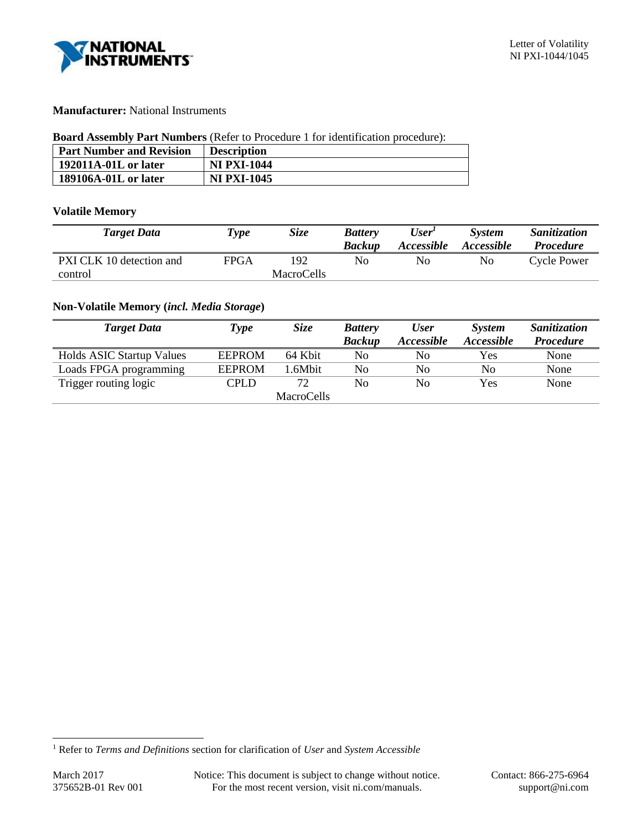

# **Manufacturer:** National Instruments

## **Board Assembly Part Numbers** (Refer to Procedure 1 for identification procedure):

| <b>Part Number and Revision</b> | <b>Description</b> |
|---------------------------------|--------------------|
| 192011A-01L or later            | <b>NI PXI-1044</b> |
| 189106A-01L or later            | <b>NI PXI-1045</b> |

## **Volatile Memory**

| <b>Target Data</b>                  | Type | <i>Size</i>              | <b>Battery</b><br><b>Backup</b> | User <sup>1</sup><br><i><b>Accessible</b></i> | <b>System</b><br>Accessible | <i>Sanitization</i><br><b>Procedure</b> |
|-------------------------------------|------|--------------------------|---------------------------------|-----------------------------------------------|-----------------------------|-----------------------------------------|
| PXI CLK 10 detection and<br>control | FPGA | 192<br><b>MacroCells</b> | No                              | No                                            | No                          | Cycle Power                             |

# **Non-Volatile Memory (***incl. Media Storage***)**

| <b>Target Data</b>               | <b>Type</b>   | <b>Size</b> | <b>Battery</b> | <b>User</b>       | <b>System</b>     | Sanitization     |
|----------------------------------|---------------|-------------|----------------|-------------------|-------------------|------------------|
|                                  |               |             | <b>Backup</b>  | <i>Accessible</i> | <i>Accessible</i> | <b>Procedure</b> |
| <b>Holds ASIC Startup Values</b> | <b>EEPROM</b> | 64 Kbit     | No             | No                | Yes               | None             |
| Loads FPGA programming           | <b>EEPROM</b> | 1.6Mbit     | No             | No                | No                | None             |
| Trigger routing logic            | <b>CPLD</b>   | 72          | No             | No                | Yes               | None             |
|                                  |               | MacroCells  |                |                   |                   |                  |

l

<sup>1</sup> Refer to *Terms and Definitions* section for clarification of *User* and *System Accessible*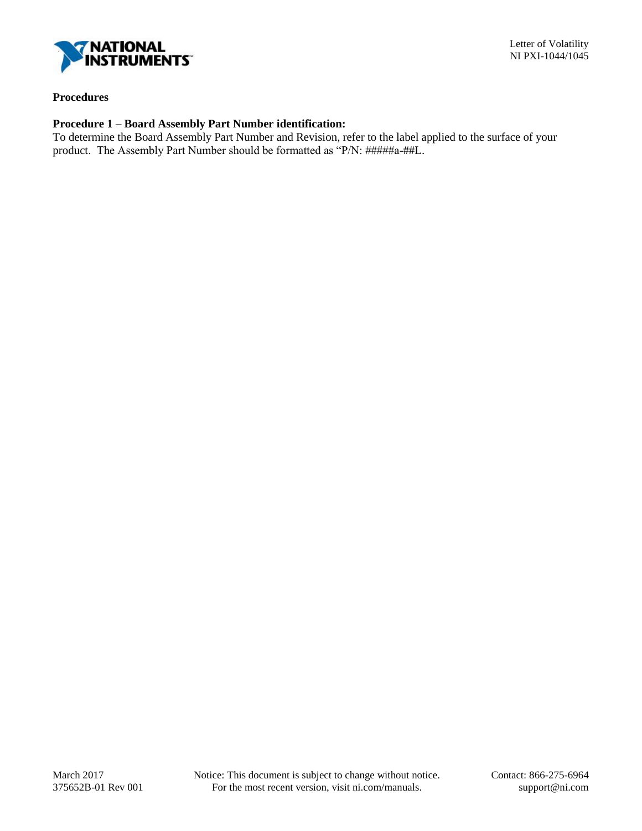

## **Procedures**

# **Procedure 1 – Board Assembly Part Number identification:**

To determine the Board Assembly Part Number and Revision, refer to the label applied to the surface of your product. The Assembly Part Number should be formatted as "P/N: #####a-##L.